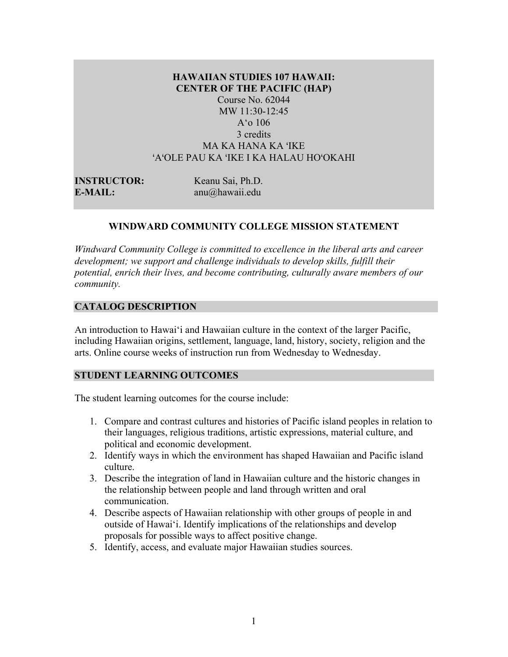# **HAWAIIAN STUDIES 107 HAWAII: CENTER OF THE PACIFIC (HAP)** Course No. 62044 MW 11:30-12:45 A'o 106 3 credits MA KA HANA KA ʻIKE ʻAʻOLE PAU KA ʻIKE I KA HALAU HOʻOKAHI

| <b>INSTRUCTOR:</b> | Keanu Sai, Ph.D.    |
|--------------------|---------------------|
| E-MAIL:            | $anu(a)$ hawaii.edu |

### **WINDWARD COMMUNITY COLLEGE MISSION STATEMENT**

*Windward Community College is committed to excellence in the liberal arts and career development; we support and challenge individuals to develop skills, fulfill their potential, enrich their lives, and become contributing, culturally aware members of our community.*

### **CATALOG DESCRIPTION**

An introduction to Hawai'i and Hawaiian culture in the context of the larger Pacific, including Hawaiian origins, settlement, language, land, history, society, religion and the arts. Online course weeks of instruction run from Wednesday to Wednesday.

### **STUDENT LEARNING OUTCOMES**

The student learning outcomes for the course include:

- 1. Compare and contrast cultures and histories of Pacific island peoples in relation to their languages, religious traditions, artistic expressions, material culture, and political and economic development.
- 2. Identify ways in which the environment has shaped Hawaiian and Pacific island culture.
- 3. Describe the integration of land in Hawaiian culture and the historic changes in the relationship between people and land through written and oral communication.
- 4. Describe aspects of Hawaiian relationship with other groups of people in and outside of Hawai'i. Identify implications of the relationships and develop proposals for possible ways to affect positive change.
- 5. Identify, access, and evaluate major Hawaiian studies sources.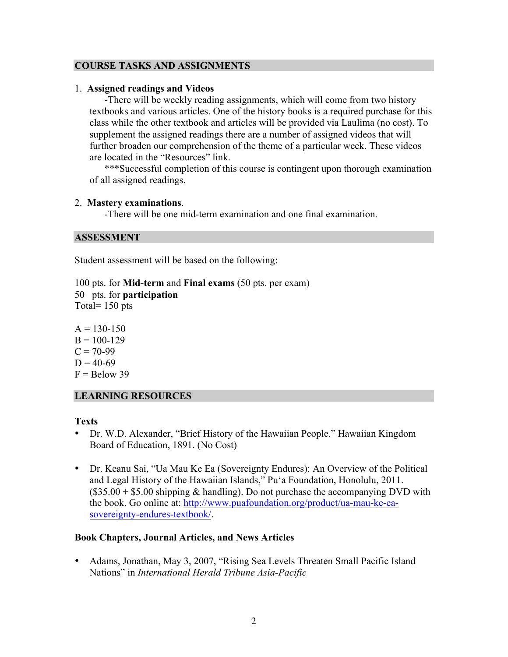# **COURSE TASKS AND ASSIGNMENTS**

## 1. **Assigned readings and Videos**

-There will be weekly reading assignments, which will come from two history textbooks and various articles. One of the history books is a required purchase for this class while the other textbook and articles will be provided via Laulima (no cost). To supplement the assigned readings there are a number of assigned videos that will further broaden our comprehension of the theme of a particular week. These videos are located in the "Resources" link.

\*\*\*Successful completion of this course is contingent upon thorough examination of all assigned readings.

### 2. **Mastery examinations**.

-There will be one mid-term examination and one final examination.

### **ASSESSMENT**

Student assessment will be based on the following:

100 pts. for **Mid-term** and **Final exams** (50 pts. per exam) 50 pts. for **participation**  Total= 150 pts

 $A = 130 - 150$  $B = 100 - 129$  $C = 70-99$  $D = 40-69$  $F =$ Below 39

## **LEARNING RESOURCES**

## **Texts**

- Dr. W.D. Alexander, "Brief History of the Hawaiian People." Hawaiian Kingdom Board of Education, 1891. (No Cost)
- Dr. Keanu Sai, "Ua Mau Ke Ea (Sovereignty Endures): An Overview of the Political and Legal History of the Hawaiian Islands," Pu'a Foundation, Honolulu, 2011.  $($35.00 + $5.00$  shipping & handling). Do not purchase the accompanying DVD with the book. Go online at: http://www.puafoundation.org/product/ua-mau-ke-easovereignty-endures-textbook/.

## **Book Chapters, Journal Articles, and News Articles**

• Adams, Jonathan, May 3, 2007, "Rising Sea Levels Threaten Small Pacific Island Nations" in *International Herald Tribune Asia-Pacific*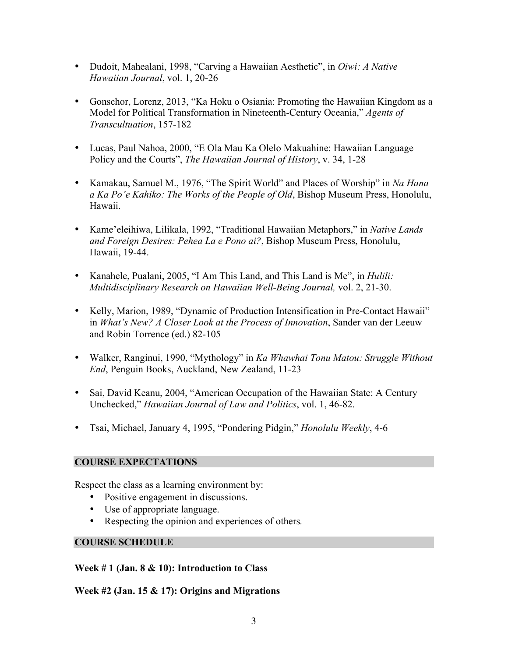- Dudoit, Mahealani, 1998, "Carving a Hawaiian Aesthetic", in *Oiwi: A Native Hawaiian Journal*, vol. 1, 20-26
- Gonschor, Lorenz, 2013, "Ka Hoku o Osiania: Promoting the Hawaiian Kingdom as a Model for Political Transformation in Nineteenth-Century Oceania," *Agents of Transcultuation*, 157-182
- Lucas, Paul Nahoa, 2000, "E Ola Mau Ka Olelo Makuahine: Hawaiian Language Policy and the Courts", *The Hawaiian Journal of History*, v. 34, 1-28
- Kamakau, Samuel M., 1976, "The Spirit World" and Places of Worship" in *Na Hana a Ka Po'e Kahiko: The Works of the People of Old*, Bishop Museum Press, Honolulu, Hawaii.
- Kame'eleihiwa, Lilikala, 1992, "Traditional Hawaiian Metaphors," in *Native Lands and Foreign Desires: Pehea La e Pono ai?*, Bishop Museum Press, Honolulu, Hawaii, 19-44.
- Kanahele, Pualani, 2005, "I Am This Land, and This Land is Me", in *Hulili: Multidisciplinary Research on Hawaiian Well-Being Journal,* vol. 2, 21-30.
- Kelly, Marion, 1989, "Dynamic of Production Intensification in Pre-Contact Hawaii" in *What's New? A Closer Look at the Process of Innovation*, Sander van der Leeuw and Robin Torrence (ed.) 82-105
- Walker, Ranginui, 1990, "Mythology" in *Ka Whawhai Tonu Matou: Struggle Without End*, Penguin Books, Auckland, New Zealand, 11-23
- Sai, David Keanu, 2004, "American Occupation of the Hawaiian State: A Century Unchecked," *Hawaiian Journal of Law and Politics*, vol. 1, 46-82.
- Tsai, Michael, January 4, 1995, "Pondering Pidgin," *Honolulu Weekly*, 4-6

## **COURSE EXPECTATIONS**

Respect the class as a learning environment by:

- Positive engagement in discussions.
- Use of appropriate language.
- Respecting the opinion and experiences of others*.*

## **COURSE SCHEDULE**

## **Week # 1 (Jan. 8 & 10): Introduction to Class**

**Week #2 (Jan. 15 & 17): Origins and Migrations**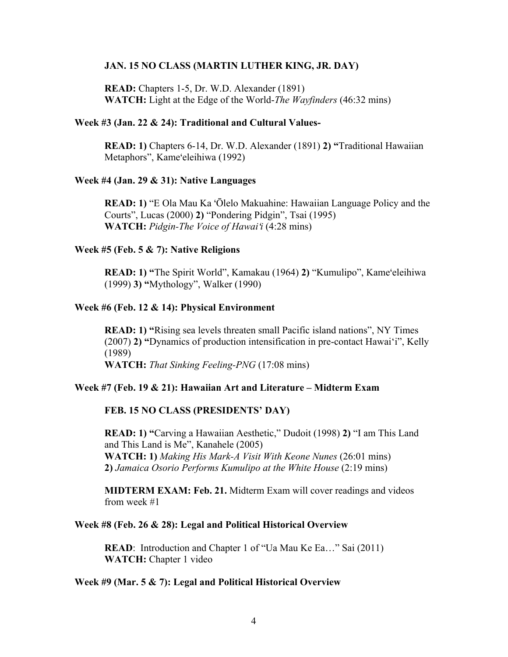### **JAN. 15 NO CLASS (MARTIN LUTHER KING, JR. DAY)**

**READ:** Chapters 1-5, Dr. W.D. Alexander (1891) **WATCH:** Light at the Edge of the World-*The Wayfinders* (46:32 mins)

### **Week #3 (Jan. 22 & 24): Traditional and Cultural Values-**

**READ: 1)** Chapters 6-14, Dr. W.D. Alexander (1891) **2) "**Traditional Hawaiian Metaphors", Kameʻeleihiwa (1992)

### **Week #4 (Jan. 29 & 31): Native Languages**

**READ: 1)** "E Ola Mau Ka ʻŌlelo Makuahine: Hawaiian Language Policy and the Courts", Lucas (2000) **2)** "Pondering Pidgin", Tsai (1995) **WATCH:** *Pidgin-The Voice of Hawai*ʻ*i* (4:28 mins)

#### **Week #5 (Feb. 5 & 7): Native Religions**

**READ: 1) "**The Spirit World", Kamakau (1964) **2)** "Kumulipo", Kameʻeleihiwa (1999) **3) "**Mythology", Walker (1990)

### **Week #6 (Feb. 12 & 14): Physical Environment**

**READ: 1)** "Rising sea levels threaten small Pacific island nations", NY Times (2007) **2) "**Dynamics of production intensification in pre-contact Hawai'i", Kelly (1989)

**WATCH:** *That Sinking Feeling-PNG* (17:08 mins)

## **Week #7 (Feb. 19 & 21): Hawaiian Art and Literature – Midterm Exam**

## **FEB. 15 NO CLASS (PRESIDENTS' DAY)**

**READ: 1) "**Carving a Hawaiian Aesthetic," Dudoit (1998) **2)** "I am This Land and This Land is Me", Kanahele (2005) **WATCH: 1)** *Making His Mark-A Visit With Keone Nunes* (26:01 mins) **2)** *Jamaica Osorio Performs Kumulipo at the White House* (2:19 mins)

**MIDTERM EXAM: Feb. 21.** Midterm Exam will cover readings and videos from week #1

## **Week #8 (Feb. 26 & 28): Legal and Political Historical Overview**

**READ**: Introduction and Chapter 1 of "Ua Mau Ke Ea..." Sai (2011) **WATCH:** Chapter 1 video

### **Week #9 (Mar. 5 & 7): Legal and Political Historical Overview**